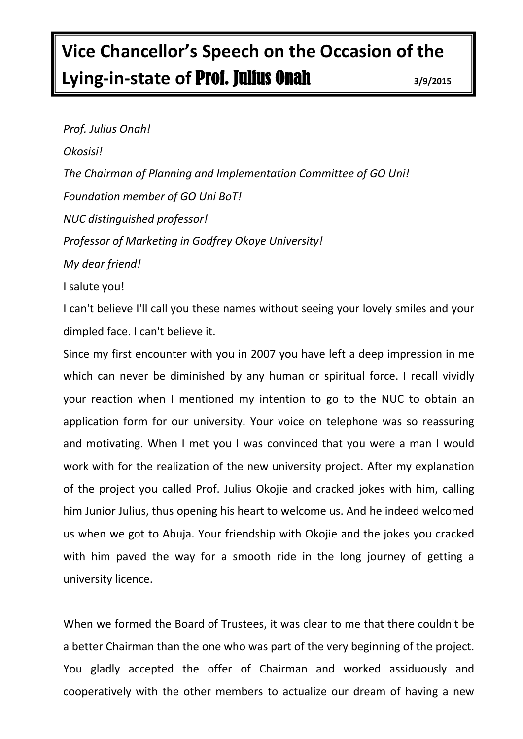## **Vice Chancellor's Speech on the Occasion of the Lying-in-state of** Prof. Julius Onah **3/9/2015**

*Prof. Julius Onah! Okosisi! The Chairman of Planning and Implementation Committee of GO Uni! Foundation member of GO Uni BoT! NUC distinguished professor! Professor of Marketing in Godfrey Okoye University! My dear friend!* I salute you!

I can't believe I'll call you these names without seeing your lovely smiles and your dimpled face. I can't believe it.

Since my first encounter with you in 2007 you have left a deep impression in me which can never be diminished by any human or spiritual force. I recall vividly your reaction when I mentioned my intention to go to the NUC to obtain an application form for our university. Your voice on telephone was so reassuring and motivating. When I met you I was convinced that you were a man I would work with for the realization of the new university project. After my explanation of the project you called Prof. Julius Okojie and cracked jokes with him, calling him Junior Julius, thus opening his heart to welcome us. And he indeed welcomed us when we got to Abuja. Your friendship with Okojie and the jokes you cracked with him paved the way for a smooth ride in the long journey of getting a university licence.

When we formed the Board of Trustees, it was clear to me that there couldn't be a better Chairman than the one who was part of the very beginning of the project. You gladly accepted the offer of Chairman and worked assiduously and cooperatively with the other members to actualize our dream of having a new